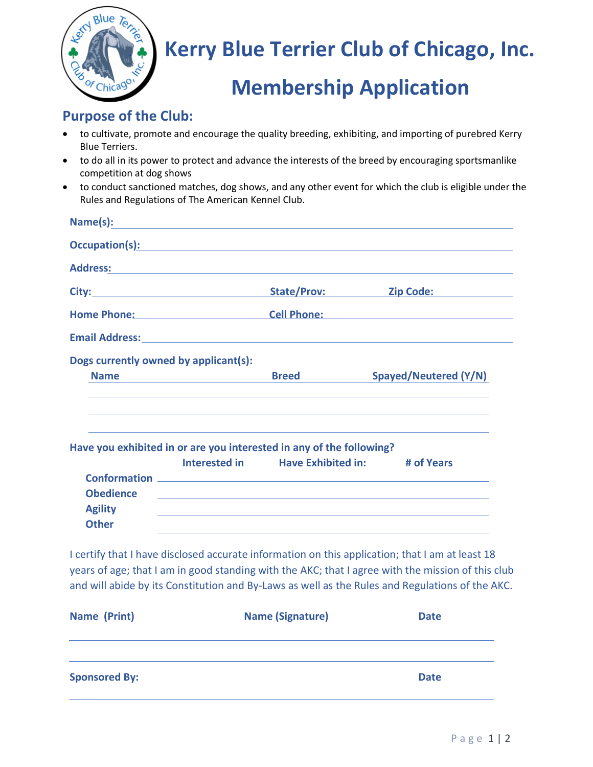

# **Kerry Blue Terrier Club of Chicago, Inc.**

## **Membership Application**

### **Purpose of the Club:**

- to cultivate, promote and encourage the quality breeding, exhibiting, and importing of purebred Kerry Blue Terriers.
- to do all in its power to protect and advance the interests of the breed by encouraging sportsmanlike competition at dog shows
- to conduct sanctioned matches, dog shows, and any other event for which the club is eligible under the Rules and Regulations of The American Kennel Club.

|                                                                                                                                                                                                                                | State/Prov:                                 | <b>Zip Code: Compare 2016</b>         |
|--------------------------------------------------------------------------------------------------------------------------------------------------------------------------------------------------------------------------------|---------------------------------------------|---------------------------------------|
| Home Phone: New York Phone Phone Phone Phone Phone Phone Phone Phone Phone Phone Phone Phone Phone Phone Phone Phone Phone Phone Phone Phone Phone Phone Phone Phone Phone Phone Phone Phone Phone Phone Phone Phone Phone Pho |                                             | <b>Cell Phone:</b> <u>Cell</u> Phone: |
| Email Address: No. 2014 19:30 19:30 19:30 19:30 19:30 19:30 19:30 19:30 19:30 19:30 19:30 19:30 19:30 19:30 19:30 19:30 19:30 19:30 19:30 19:30 19:30 19:30 19:30 19:30 19:30 19:30 19:30 19:30 19:30 19:30 19:30 19:30 19:30  |                                             |                                       |
| Dogs currently owned by applicant(s):                                                                                                                                                                                          |                                             |                                       |
| <b>Name</b>                                                                                                                                                                                                                    | <b>Breed</b>                                | Spayed/Neutered (Y/N)                 |
| Have you exhibited in or are you interested in any of the following?                                                                                                                                                           |                                             |                                       |
|                                                                                                                                                                                                                                | Interested in Have Exhibited in: # of Years |                                       |
|                                                                                                                                                                                                                                |                                             |                                       |
| <b>Obedience</b>                                                                                                                                                                                                               |                                             |                                       |
|                                                                                                                                                                                                                                |                                             |                                       |
| <b>Agility</b>                                                                                                                                                                                                                 |                                             |                                       |

I certify that I have disclosed accurate information on this application; that I am at least 18 years of age; that I am in good standing with the AKC; that I agree with the mission of this club **the AKC.** and will abide by its Constitution and By-Laws as well as the Rules and Regulations of the AKC.

| Name (Print)         | <b>Name (Signature)</b> | <b>Date</b> |
|----------------------|-------------------------|-------------|
| <b>Sponsored By:</b> |                         | <b>Date</b> |